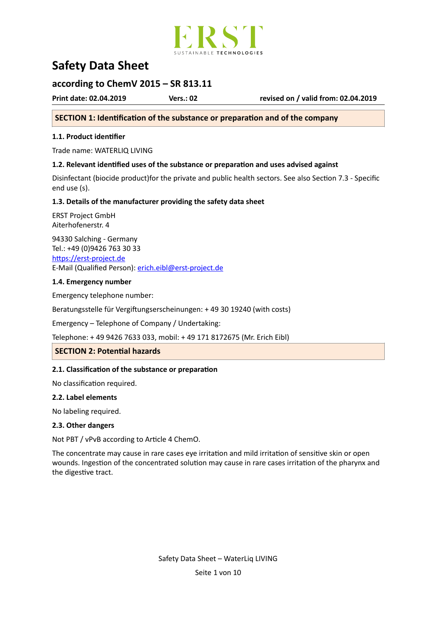

# **Safety Data Sheet**

## **according to ChemV 2015 - SR 813.11**

**Print date: 02.04.2019 Vers.: 02 revised on / valid from: 02.04.2019** 

## **SECTION 1: Identification of the substance or preparation and of the company**

## **1.1. Product identifier**

Trade name: WATERLIQ LIVING

## **1.2. Relevant identified uses of the substance or preparation and uses advised against**

Disinfectant (biocide product)for the private and public health sectors. See also Section 7.3 - Specific end use (s).

## 1.3. Details of the manufacturer providing the safety data sheet

ERST Project GmbH Aiterhofenerstr. 4 

94330 Salching - Germany Tel.: +49 (0)9426 763 30 33 https://erst-project.de E-Mail (Qualified Person): erich.eibl@erst-project.de

## 1.4. Emergency number

Emergency telephone number:

Beratungsstelle für Vergiftungserscheinungen: + 49 30 19240 (with costs)

Emergency - Telephone of Company / Undertaking:

Telephone: + 49 9426 7633 033, mobil: + 49 171 8172675 (Mr. Erich Eibl)

## **SECTION 2: Potential hazards**

## **2.1. Classification of the substance or preparation**

No classification required.

## **2.2. Label elements**

No labeling required.

## **2.3. Other dangers**

Not PBT / vPvB according to Article 4 ChemO.

The concentrate may cause in rare cases eye irritation and mild irritation of sensitive skin or open wounds. Ingestion of the concentrated solution may cause in rare cases irritation of the pharynx and the digestive tract.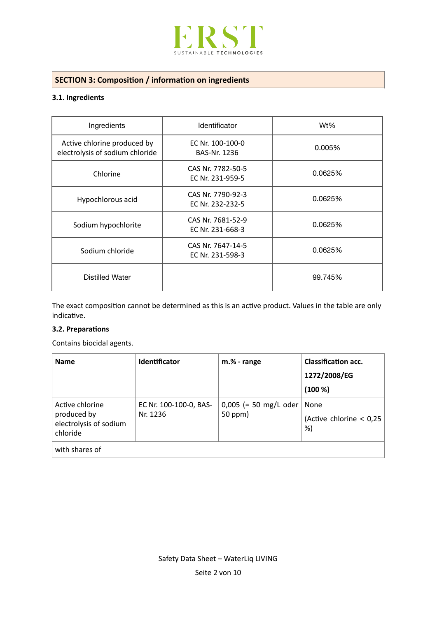

# **SECTION 3: Composition / information on ingredients**

## **3.1.** Ingredients

| Ingredients                                                    | Identificator                           | Wt%     |  |
|----------------------------------------------------------------|-----------------------------------------|---------|--|
| Active chlorine produced by<br>electrolysis of sodium chloride | EC Nr. 100-100-0<br><b>BAS-Nr. 1236</b> | 0.005%  |  |
| Chlorine                                                       | CAS Nr. 7782-50-5<br>EC Nr. 231-959-5   | 0.0625% |  |
| Hypochlorous acid                                              | CAS Nr. 7790-92-3<br>EC Nr. 232-232-5   | 0.0625% |  |
| Sodium hypochlorite                                            | CAS Nr. 7681-52-9<br>EC Nr. 231-668-3   | 0.0625% |  |
| Sodium chloride                                                | CAS Nr. 7647-14-5<br>EC Nr. 231-598-3   | 0.0625% |  |
| <b>Distilled Water</b>                                         |                                         | 99.745% |  |

The exact composition cannot be determined as this is an active product. Values in the table are only indicative.

## **3.2. Preparations**

Contains biocidal agents.

| <b>Name</b>                                                          | <b>Identificator</b>               | m.% - range                        | <b>Classification acc.</b><br>1272/2008/EG<br>(100 %) |
|----------------------------------------------------------------------|------------------------------------|------------------------------------|-------------------------------------------------------|
| Active chlorine<br>produced by<br>electrolysis of sodium<br>chloride | EC Nr. 100-100-0, BAS-<br>Nr. 1236 | $0,005$ (= 50 mg/L oder<br>50 ppm) | None<br>(Active chlorine $< 0.25$<br>%)               |
| with shares of                                                       |                                    |                                    |                                                       |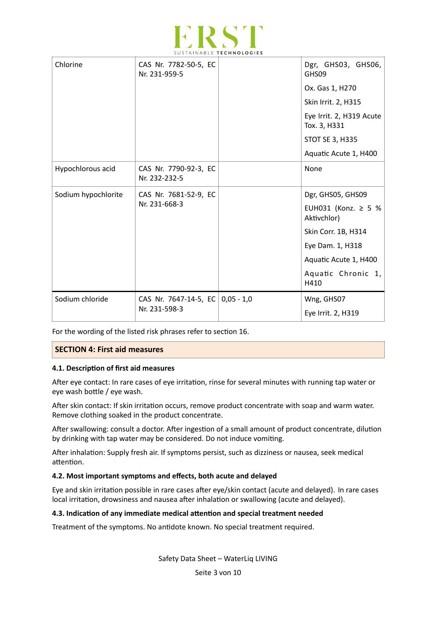

| Chlorine            | CAS Nr. 7782-50-5, EC<br>Nr. 231-959-5 |  | Dgr, GHS03, GHS06,<br>GHS09              |
|---------------------|----------------------------------------|--|------------------------------------------|
|                     |                                        |  | Ox. Gas 1, H270                          |
|                     |                                        |  | Skin Irrit. 2, H315                      |
|                     |                                        |  | Eye Irrit. 2, H319 Acute<br>Tox. 3, H331 |
|                     |                                        |  | <b>STOT SE 3, H335</b>                   |
|                     |                                        |  | Aquatic Acute 1, H400                    |
| Hypochlorous acid   | CAS Nr. 7790-92-3, EC<br>Nr. 232-232-5 |  | None                                     |
| Sodium hypochlorite | CAS Nr. 7681-52-9, EC<br>Nr. 231-668-3 |  | Dgr, GHS05, GHS09                        |
|                     |                                        |  | EUH031 (Konz. ≥ 5 %<br>Aktivchlor)       |
|                     |                                        |  | Skin Corr. 1B, H314                      |
|                     |                                        |  | Eye Dam. 1, H318                         |
|                     |                                        |  | Aquatic Acute 1, H400                    |
|                     |                                        |  | Aquatic Chronic 1,<br>H410               |
| Sodium chloride     | CAS Nr. 7647-14-5, EC 0,05 - 1,0       |  | Wng, GHS07                               |
|                     | Nr. 231-598-3                          |  | Eye Irrit. 2, H319                       |

For the wording of the listed risk phrases refer to section 16.

## **SECTION 4: First aid measures**

## **4.1. Description of first aid measures**

After eye contact: In rare cases of eye irritation, rinse for several minutes with running tap water or eye wash bottle / eye wash.

After skin contact: If skin irritation occurs, remove product concentrate with soap and warm water. Remove clothing soaked in the product concentrate.

After swallowing: consult a doctor. After ingestion of a small amount of product concentrate, dilution by drinking with tap water may be considered. Do not induce vomiting.

After inhalation: Supply fresh air. If symptoms persist, such as dizziness or nausea, seek medical attention.

## 4.2. Most important symptoms and effects, both acute and delayed

Eye and skin irritation possible in rare cases after eye/skin contact (acute and delayed). In rare cases local irritation, drowsiness and nausea after inhalation or swallowing (acute and delayed).

## **4.3. Indication of any immediate medical attention and special treatment needed**

Treatment of the symptoms. No antidote known. No special treatment required.

Safety Data Sheet - WaterLiq LIVING

Seite 3 von 10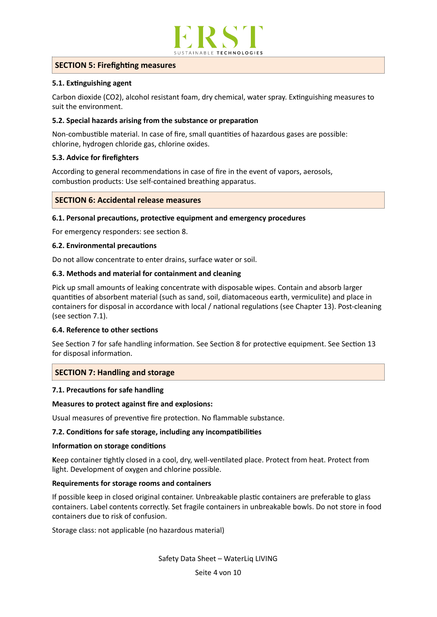

## **SECTION 5: Firefighting measures**

## **5.1. Extinguishing agent**

Carbon dioxide (CO2), alcohol resistant foam, dry chemical, water spray. Extinguishing measures to suit the environment.

## **5.2. Special hazards arising from the substance or preparation**

Non-combustible material. In case of fire, small quantities of hazardous gases are possible: chlorine, hydrogen chloride gas, chlorine oxides.

## **5.3. Advice for firefighters**

According to general recommendations in case of fire in the event of vapors, aerosols, combustion products: Use self-contained breathing apparatus.

## **SECTION 6: Accidental release measures**

## **6.1. Personal precautions, protective equipment and emergency procedures**

For emergency responders: see section 8.

## **6.2. Environmental precautions**

Do not allow concentrate to enter drains, surface water or soil.

## **6.3. Methods and material for containment and cleaning**

Pick up small amounts of leaking concentrate with disposable wipes. Contain and absorb larger quantities of absorbent material (such as sand, soil, diatomaceous earth, vermiculite) and place in containers for disposal in accordance with local / national regulations (see Chapter 13). Post-cleaning (see section 7.1).

## **6.4. Reference to other secFons**

See Section 7 for safe handling information. See Section 8 for protective equipment. See Section 13 for disposal information.

## **SECTION 7: Handling and storage**

## **7.1. Precautions for safe handling**

## **Measures to protect against fire and explosions:**

Usual measures of preventive fire protection. No flammable substance.

## **7.2. Conditions for safe storage, including any incompatibilities**

## **Information on storage conditions**

Keep container tightly closed in a cool, dry, well-ventilated place. Protect from heat. Protect from light. Development of oxygen and chlorine possible.

## **Requirements for storage rooms and containers**

If possible keep in closed original container. Unbreakable plastic containers are preferable to glass containers. Label contents correctly. Set fragile containers in unbreakable bowls. Do not store in food containers due to risk of confusion.

Storage class: not applicable (no hazardous material)

Safety Data Sheet - WaterLiq LIVING

Seite 4 von 10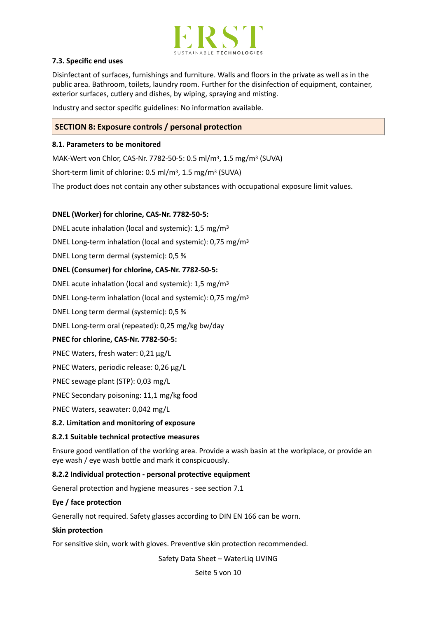

## **7.3. Specific end uses**

Disinfectant of surfaces, furnishings and furniture. Walls and floors in the private as well as in the public area. Bathroom, toilets, laundry room. Further for the disinfection of equipment, container, exterior surfaces, cutlery and dishes, by wiping, spraying and misting.

Industry and sector specific guidelines: No information available.

## **SECTION 8: Exposure controls / personal protection**

## **8.1. Parameters to be monitored**

MAK-Wert von Chlor, CAS-Nr. 7782-50-5: 0.5 ml/m<sup>3</sup>, 1.5 mg/m<sup>3</sup> (SUVA)

Short-term limit of chlorine:  $0.5$  ml/m<sup>3</sup>,  $1.5$  mg/m<sup>3</sup> (SUVA)

The product does not contain any other substances with occupational exposure limit values.

## DNEL (Worker) for chlorine, CAS-Nr. 7782-50-5:

DNEL acute inhalation (local and systemic):  $1.5 \text{ mg/m}^3$ 

DNEL Long-term inhalation (local and systemic):  $0.75 \text{ mg/m}^3$ 

DNEL Long term dermal (systemic): 0,5 %

#### **DNEL (Consumer) for chlorine, CAS-Nr. 7782-50-5:**

DNEL acute inhalation (local and systemic):  $1.5 \text{ mg/m}^3$ 

DNEL Long-term inhalation (local and systemic):  $0.75 \text{ mg/m}^3$ 

DNEL Long term dermal (systemic): 0,5 %

DNEL Long-term oral (repeated): 0,25 mg/kg bw/day

#### PNEC for chlorine, CAS-Nr. 7782-50-5:

PNEC Waters, fresh water: 0,21 μg/L

PNEC Waters, periodic release: 0,26 μg/L

PNEC sewage plant (STP): 0,03 mg/L

PNEC Secondary poisoning: 11,1 mg/kg food

PNEC Waters, seawater: 0,042 mg/L

#### **8.2. Limitation and monitoring of exposure**

#### **8.2.1 Suitable technical protective measures**

Ensure good ventilation of the working area. Provide a wash basin at the workplace, or provide an eye wash / eye wash bottle and mark it conspicuously.

#### **8.2.2** Individual protection - personal protective equipment

General protection and hygiene measures - see section 7.1

#### Eye / face protection

Generally not required. Safety glasses according to DIN EN 166 can be worn.

#### **Skin protection**

For sensitive skin, work with gloves. Preventive skin protection recommended.

Safety Data Sheet - WaterLig LIVING

Seite 5 von 10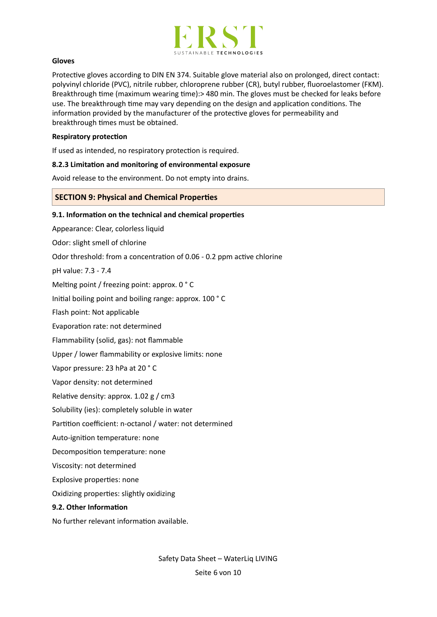

#### **Gloves**

Protective gloves according to DIN EN 374. Suitable glove material also on prolonged, direct contact: polyvinyl chloride (PVC), nitrile rubber, chloroprene rubber (CR), butyl rubber, fluoroelastomer (FKM). Breakthrough time (maximum wearing time):> 480 min. The gloves must be checked for leaks before use. The breakthrough time may vary depending on the design and application conditions. The information provided by the manufacturer of the protective gloves for permeability and breakthrough times must be obtained.

#### **Respiratory protection**

If used as intended, no respiratory protection is required.

#### **8.2.3 Limitation and monitoring of environmental exposure**

Avoid release to the environment. Do not empty into drains.

## **SECTION 9: Physical and Chemical Properties**

#### **9.1.** Information on the technical and chemical properties

Appearance: Clear, colorless liquid

Odor: slight smell of chlorine

Odor threshold: from a concentration of 0.06 - 0.2 ppm active chlorine

pH value: 7.3 - 7.4

Melting point / freezing point: approx.  $0 °C$ 

Initial boiling point and boiling range: approx. 100 °C

Flash point: Not applicable

Evaporation rate: not determined

Flammability (solid, gas): not flammable

Upper / lower flammability or explosive limits: none

Vapor pressure: 23 hPa at 20 °C

Vapor density: not determined

Relative density: approx.  $1.02 \text{ g}$  / cm3

Solubility (ies): completely soluble in water

Partition coefficient: n-octanol / water: not determined

Auto-ignition temperature: none

Decomposition temperature: none

Viscosity: not determined

Explosive properties: none

Oxidizing properties: slightly oxidizing

#### **9.2. Other Information**

No further relevant information available.

Safety Data Sheet - WaterLiq LIVING

Seite 6 von 10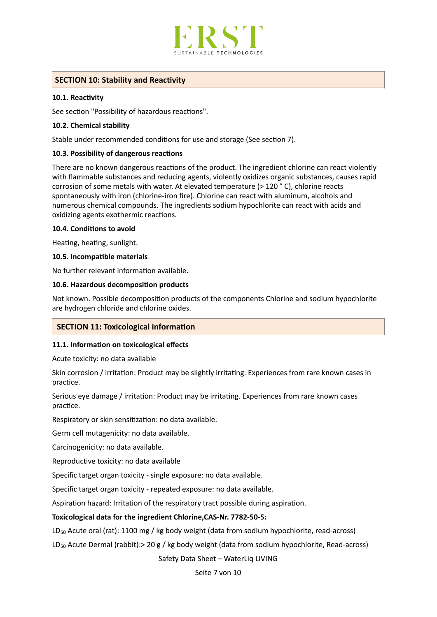

## **SECTION 10: Stability and Reactivity**

## **10.1. Reactivity**

See section "Possibility of hazardous reactions".

## 10.2. Chemical stability

Stable under recommended conditions for use and storage (See section 7).

#### **10.3. Possibility of dangerous reactions**

There are no known dangerous reactions of the product. The ingredient chlorine can react violently with flammable substances and reducing agents, violently oxidizes organic substances, causes rapid corrosion of some metals with water. At elevated temperature ( $>$  120  $\degree$  C), chlorine reacts spontaneously with iron (chlorine-iron fire). Chlorine can react with aluminum, alcohols and numerous chemical compounds. The ingredients sodium hypochlorite can react with acids and oxidizing agents exothermic reactions.

#### **10.4. Conditions to avoid**

Heating, heating, sunlight.

#### **10.5. Incompatible materials**

No further relevant information available.

## **10.6. Hazardous decomposition products**

Not known. Possible decomposition products of the components Chlorine and sodium hypochlorite are hydrogen chloride and chlorine oxides.

## **SECTION 11: Toxicological information**

## **11.1.** Information on toxicological effects

Acute toxicity: no data available

Skin corrosion / irritation: Product may be slightly irritating. Experiences from rare known cases in practice.

Serious eye damage / irritation: Product may be irritating. Experiences from rare known cases practice.

Respiratory or skin sensitization: no data available.

Germ cell mutagenicity: no data available.

Carcinogenicity: no data available.

Reproductive toxicity: no data available

Specific target organ toxicity - single exposure: no data available.

Specific target organ toxicity - repeated exposure: no data available.

Aspiration hazard: Irritation of the respiratory tract possible during aspiration.

## Toxicological data for the ingredient Chlorine, CAS-Nr. 7782-50-5:

LD<sub>50</sub> Acute oral (rat): 1100 mg / kg body weight (data from sodium hypochlorite, read-across)

 $LD_{50}$  Acute Dermal (rabbit):> 20 g / kg body weight (data from sodium hypochlorite, Read-across)

Safety Data Sheet - WaterLig LIVING

Seite 7 von 10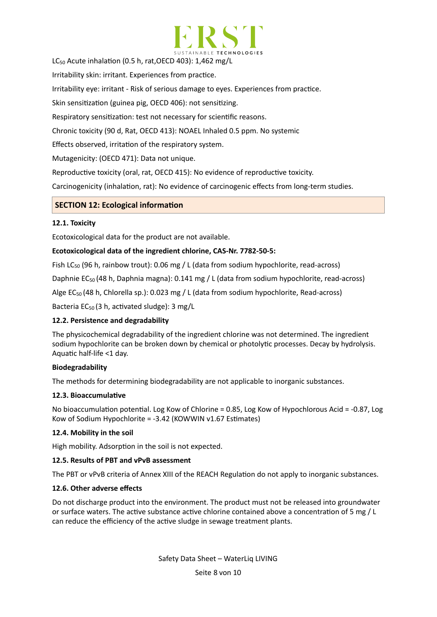

LC<sub>50</sub> Acute inhalation (0.5 h, rat, OECD 403):  $1,462$  mg/L

Irritability skin: irritant. Experiences from practice.

Irritability eye: irritant - Risk of serious damage to eyes. Experiences from practice.

Skin sensitization (guinea pig, OECD 406): not sensitizing.

Respiratory sensitization: test not necessary for scientific reasons.

Chronic toxicity (90 d, Rat, OECD 413): NOAEL Inhaled 0.5 ppm. No systemic

Effects observed, irritation of the respiratory system.

Mutagenicity: (OECD 471): Data not unique.

Reproductive toxicity (oral, rat, OECD 415): No evidence of reproductive toxicity.

Carcinogenicity (inhalation, rat): No evidence of carcinogenic effects from long-term studies.

## **SECTION 12: Ecological information**

## 12.1. Toxicity

Ecotoxicological data for the product are not available.

## Ecotoxicological data of the ingredient chlorine, CAS-Nr. 7782-50-5:

Fish LC<sub>50</sub> (96 h, rainbow trout): 0.06 mg / L (data from sodium hypochlorite, read-across)

Daphnie  $EC_{50}$  (48 h, Daphnia magna): 0.141 mg / L (data from sodium hypochlorite, read-across)

Alge  $EC_{50}$  (48 h, Chlorella sp.): 0.023 mg / L (data from sodium hypochlorite, Read-across)

Bacteria  $EC_{50}$  (3 h, activated sludge): 3 mg/L

## **12.2. Persistence and degradability**

The physicochemical degradability of the ingredient chlorine was not determined. The ingredient sodium hypochlorite can be broken down by chemical or photolytic processes. Decay by hydrolysis. Aquatic half-life  $<$ 1 day.

## **Biodegradability**

The methods for determining biodegradability are not applicable to inorganic substances.

## 12.3. Bioaccumulative

No bioaccumulation potential. Log Kow of Chlorine = 0.85, Log Kow of Hypochlorous Acid = -0.87, Log Kow of Sodium Hypochlorite =  $-3.42$  (KOWWIN v1.67 Estimates)

## **12.4. Mobility in the soil**

High mobility. Adsorption in the soil is not expected.

## **12.5. Results of PBT and vPvB assessment**

The PBT or vPvB criteria of Annex XIII of the REACH Regulation do not apply to inorganic substances.

## **12.6. Other adverse effects**

Do not discharge product into the environment. The product must not be released into groundwater or surface waters. The active substance active chlorine contained above a concentration of 5 mg /  $\sf L$ can reduce the efficiency of the active sludge in sewage treatment plants.

Seite 8 von 10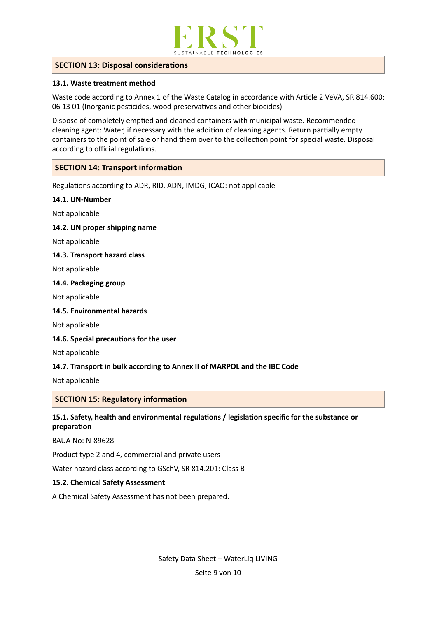

## **SECTION 13: Disposal considerations**

## **13.1. Waste treatment method**

Waste code according to Annex 1 of the Waste Catalog in accordance with Article 2 VeVA, SR 814.600: 06 13 01 (Inorganic pesticides, wood preservatives and other biocides)

Dispose of completely emptied and cleaned containers with municipal waste. Recommended cleaning agent: Water, if necessary with the addition of cleaning agents. Return partially empty containers to the point of sale or hand them over to the collection point for special waste. Disposal according to official regulations.

## **SECTION 14: Transport information**

Regulations according to ADR, RID, ADN, IMDG, ICAO: not applicable

#### **14.1. UN-Number**

Not applicable

#### 14.2. UN proper shipping name

Not applicable

#### 14.3. Transport hazard class

Not applicable

#### 14.4. Packaging group

Not applicable

#### 14.5. Environmental hazards

Not applicable

#### 14.6. Special precautions for the user

Not applicable

## **14.7. Transport in bulk according to Annex II of MARPOL and the IBC Code**

Not applicable

## **SECTION 15: Regulatory information**

## **15.1. Safety, health and environmental regulations / legislation specific for the substance or** preparation

BAUA No: N-89628 

Product type 2 and 4, commercial and private users

Water hazard class according to GSchV, SR 814.201: Class B

#### **15.2. Chemical Safety Assessment**

A Chemical Safety Assessment has not been prepared.

Safety Data Sheet - WaterLiq LIVING Seite 9 von 10